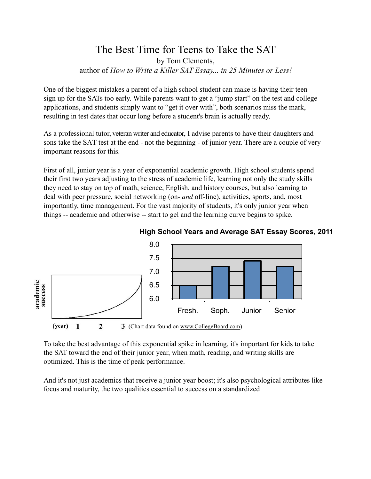## The Best Time for Teens to Take the SAT by Tom Clements, author of *How to Write a Killer SAT Essay... in 25 Minutes or Less!*

One of the biggest mistakes a parent of a high school student can make is having their teen sign up for the SATs too early. While parents want to get a "jump start" on the test and college applications, and students simply want to "get it over with", both scenarios miss the mark, resulting in test dates that occur long before a student's brain is actually ready.

As a professional tutor, veteran writer and educator, I advise parents to have their daughters and sons take the SAT test at the end - not the beginning - of junior year. There are a couple of very important reasons for this.

First of all, junior year is a year of exponential academic growth. High school students spend their first two years adjusting to the stress of academic life, learning not only the study skills they need to stay on top of math, science, English, and history courses, but also learning to deal with peer pressure, social networking (on- *and* off-line), activities, sports, and, most importantly, time management. For the vast majority of students, it's only junior year when things -- academic and otherwise -- start to gel and the learning curve begins to spike.



## **High School Years and Average SAT Essay Scores, 2011**

To take the best advantage of this exponential spike in learning, it's important for kids to take the SAT toward the end of their junior year, when math, reading, and writing skills are optimized. This is the time of peak performance.

And it's not just academics that receive a junior year boost; it's also psychological attributes like focus and maturity, the two qualities essential to success on a standardized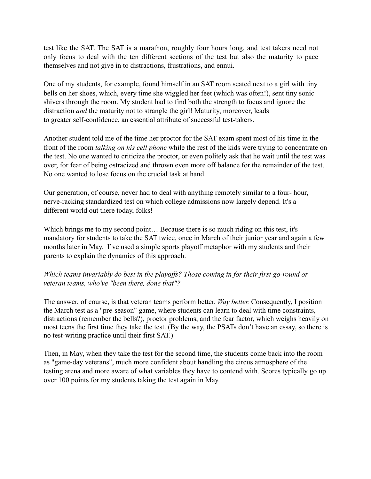test like the SAT. The SAT is a marathon, roughly four hours long, and test takers need not only focus to deal with the ten different sections of the test but also the maturity to pace themselves and not give in to distractions, frustrations, and ennui.

One of my students, for example, found himself in an SAT room seated next to a girl with tiny bells on her shoes, which, every time she wiggled her feet (which was often!), sent tiny sonic shivers through the room. My student had to find both the strength to focus and ignore the distraction *and* the maturity not to strangle the girl! Maturity, moreover, leads to greater self-confidence, an essential attribute of successful test-takers.

Another student told me of the time her proctor for the SAT exam spent most of his time in the front of the room *talking on his cell phone* while the rest of the kids were trying to concentrate on the test. No one wanted to criticize the proctor, or even politely ask that he wait until the test was over, for fear of being ostracized and thrown even more off balance for the remainder of the test. No one wanted to lose focus on the crucial task at hand.

Our generation, of course, never had to deal with anything remotely similar to a four- hour, nerve-racking standardized test on which college admissions now largely depend. It's a different world out there today, folks!

Which brings me to my second point… Because there is so much riding on this test, it's mandatory for students to take the SAT twice, once in March of their junior year and again a few months later in May. I've used a simple sports playoff metaphor with my students and their parents to explain the dynamics of this approach.

*Which teams invariably do best in the playoffs? Those coming in for their first go-round or veteran teams, who've "been there, done that"?*

The answer, of course, is that veteran teams perform better. *Way better.* Consequently, I position the March test as a "pre-season" game, where students can learn to deal with time constraints, distractions (remember the bells?), proctor problems, and the fear factor, which weighs heavily on most teens the first time they take the test. (By the way, the PSATs don't have an essay, so there is no test-writing practice until their first SAT.)

Then, in May, when they take the test for the second time, the students come back into the room as "game-day veterans", much more confident about handling the circus atmosphere of the testing arena and more aware of what variables they have to contend with. Scores typically go up over 100 points for my students taking the test again in May.